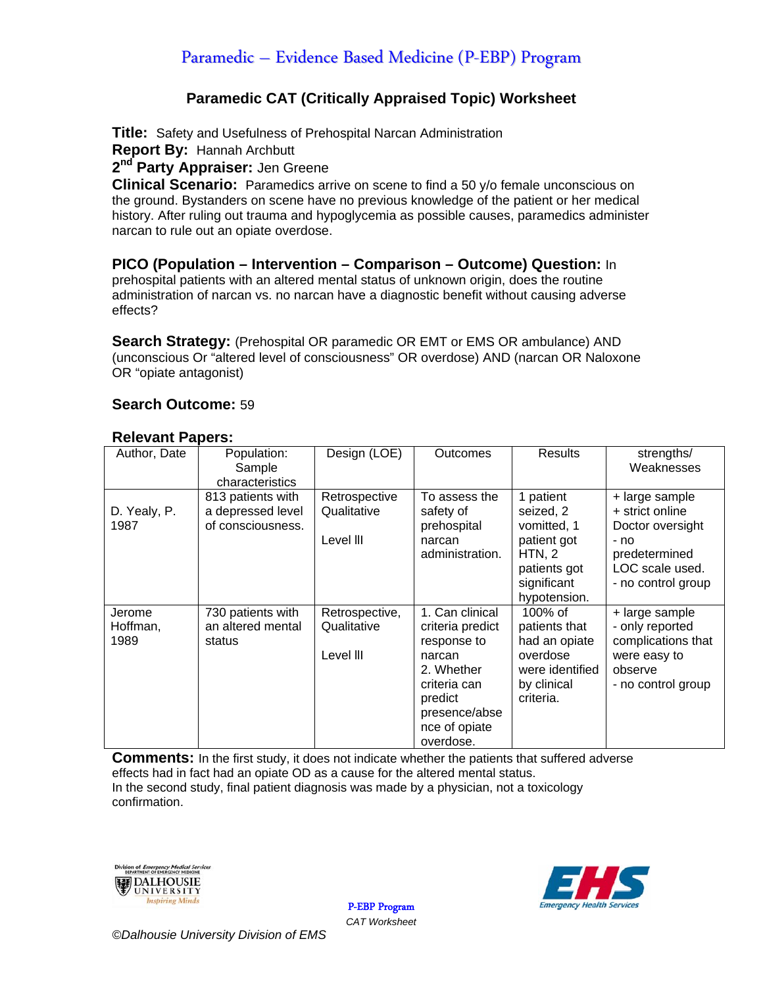# Paramedic – Evidence Based Medicine (P-EBP) Program

### **Paramedic CAT (Critically Appraised Topic) Worksheet**

**Title:** Safety and Usefulness of Prehospital Narcan Administration

**Report By:** Hannah Archbutt

2<sup>nd</sup> Party Appraiser: Jen Greene

**Clinical Scenario:** Paramedics arrive on scene to find a 50 y/o female unconscious on the ground. Bystanders on scene have no previous knowledge of the patient or her medical history. After ruling out trauma and hypoglycemia as possible causes, paramedics administer narcan to rule out an opiate overdose.

**PICO (Population – Intervention – Comparison – Outcome) Question:** In prehospital patients with an altered mental status of unknown origin, does the routine administration of narcan vs. no narcan have a diagnostic benefit without causing adverse effects?

**Search Strategy:** (Prehospital OR paramedic OR EMT or EMS OR ambulance) AND (unconscious Or "altered level of consciousness" OR overdose) AND (narcan OR Naloxone OR "opiate antagonist)

### **Search Outcome:** 59

#### **Relevant Papers:**

| Author, Date | Population:       | Design (LOE)   | Outcomes         | <b>Results</b>  | strengths/         |  |
|--------------|-------------------|----------------|------------------|-----------------|--------------------|--|
|              | Sample            |                |                  |                 | Weaknesses         |  |
|              | characteristics   |                |                  |                 |                    |  |
|              | 813 patients with | Retrospective  | To assess the    | 1 patient       | + large sample     |  |
| D. Yealy, P. | a depressed level | Qualitative    | safety of        | seized, 2       | + strict online    |  |
| 1987         | of consciousness. |                | prehospital      | vomitted, 1     | Doctor oversight   |  |
|              |                   | Level III      | narcan           | patient got     | - no               |  |
|              |                   |                | administration.  | HTN, 2          | predetermined      |  |
|              |                   |                |                  | patients got    | LOC scale used.    |  |
|              |                   |                |                  | significant     | - no control group |  |
|              |                   |                |                  | hypotension.    |                    |  |
| Jerome       | 730 patients with | Retrospective, | 1. Can clinical  | 100% of         | + large sample     |  |
| Hoffman,     | an altered mental | Qualitative    | criteria predict | patients that   | - only reported    |  |
| 1989         | status            |                | response to      | had an opiate   | complications that |  |
|              |                   | Level III      | narcan           | overdose        | were easy to       |  |
|              |                   |                | 2. Whether       | were identified | observe            |  |
|              |                   |                | criteria can     | by clinical     | - no control group |  |
|              |                   |                | predict          | criteria.       |                    |  |
|              |                   |                | presence/abse    |                 |                    |  |
|              |                   |                | nce of opiate    |                 |                    |  |
|              |                   |                | overdose.        |                 |                    |  |

**Comments:** In the first study, it does not indicate whether the patients that suffered adverse effects had in fact had an opiate OD as a cause for the altered mental status. In the second study, final patient diagnosis was made by a physician, not a toxicology confirmation.





P-EBP Program *CAT Worksheet*